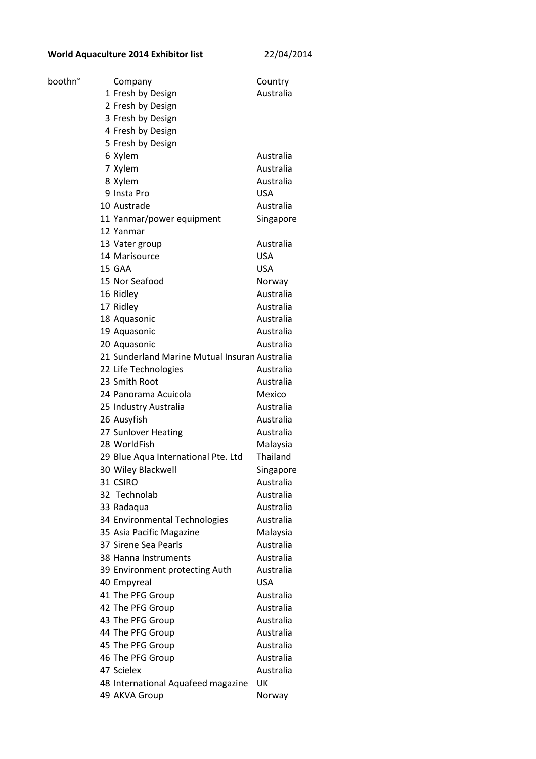## **World Aquaculture 2014 Exhibitor list** 22/04/2014

| boothn° | Company                                       | Country    |
|---------|-----------------------------------------------|------------|
|         | 1 Fresh by Design                             | Australia  |
|         | 2 Fresh by Design                             |            |
|         | 3 Fresh by Design                             |            |
|         | 4 Fresh by Design                             |            |
|         | 5 Fresh by Design                             |            |
|         | 6 Xylem                                       | Australia  |
|         | 7 Xylem                                       | Australia  |
|         | 8 Xylem                                       | Australia  |
|         | 9 Insta Pro                                   | <b>USA</b> |
|         | 10 Austrade                                   | Australia  |
|         | 11 Yanmar/power equipment                     | Singapore  |
|         | 12 Yanmar                                     |            |
|         | 13 Vater group                                | Australia  |
|         | 14 Marisource                                 | <b>USA</b> |
|         | 15 GAA                                        | <b>USA</b> |
|         | 15 Nor Seafood                                | Norway     |
|         | 16 Ridley                                     | Australia  |
|         | 17 Ridley                                     | Australia  |
|         | 18 Aquasonic                                  | Australia  |
|         | 19 Aquasonic                                  | Australia  |
|         | 20 Aquasonic                                  | Australia  |
|         | 21 Sunderland Marine Mutual Insuran Australia |            |
|         | 22 Life Technologies                          | Australia  |
|         | 23 Smith Root                                 | Australia  |
|         | 24 Panorama Acuicola                          | Mexico     |
|         | 25 Industry Australia                         | Australia  |
|         | 26 Ausyfish                                   | Australia  |
|         | 27 Sunlover Heating                           | Australia  |
|         | 28 WorldFish                                  | Malaysia   |
|         | 29 Blue Aqua International Pte. Ltd           | Thailand   |
|         | 30 Wiley Blackwell                            | Singapore  |
|         | 31 CSIRO                                      | Australia  |
|         | 32 Technolab                                  | Australia  |
|         | 33 Radaqua                                    | Australia  |
|         | 34 Environmental Technologies                 | Australia  |
|         | 35 Asia Pacific Magazine                      | Malaysia   |
|         | 37 Sirene Sea Pearls                          | Australia  |
|         | 38 Hanna Instruments                          | Australia  |
|         | 39 Environment protecting Auth                | Australia  |
|         | 40 Empyreal                                   | <b>USA</b> |
|         | 41 The PFG Group                              | Australia  |
|         | 42 The PFG Group                              | Australia  |
|         | 43 The PFG Group                              | Australia  |
|         | 44 The PFG Group                              | Australia  |
|         | 45 The PFG Group                              | Australia  |
|         | 46 The PFG Group                              | Australia  |
|         | 47 Scielex                                    | Australia  |
|         | 48 International Aquafeed magazine            | UK         |
|         | 49 AKVA Group                                 | Norway     |
|         |                                               |            |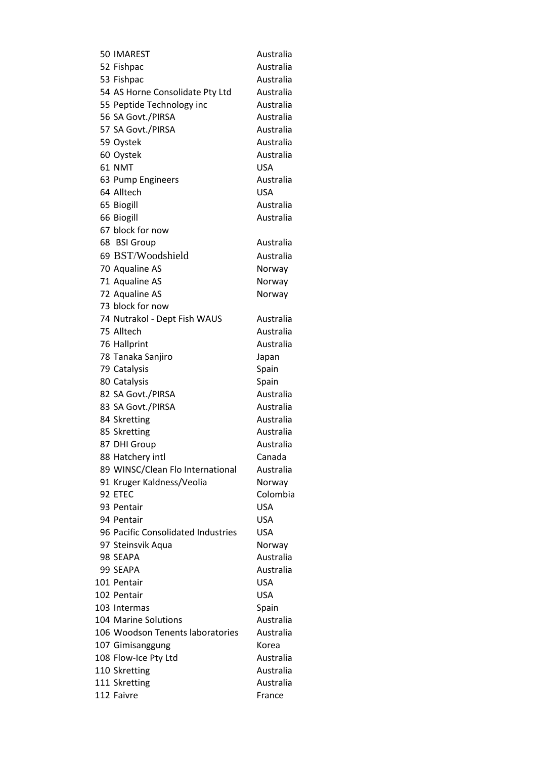| 50 IMAREST                         | Australia  |
|------------------------------------|------------|
| 52 Fishpac                         | Australia  |
| 53 Fishpac                         | Australia  |
| 54 AS Horne Consolidate Pty Ltd    | Australia  |
| 55 Peptide Technology inc          | Australia  |
| 56 SA Govt./PIRSA                  | Australia  |
| 57 SA Govt./PIRSA                  | Australia  |
| 59 Oystek                          | Australia  |
| 60 Oystek                          | Australia  |
| 61 NMT                             | <b>USA</b> |
| 63 Pump Engineers                  | Australia  |
| 64 Alltech                         | <b>USA</b> |
| 65 Biogill                         | Australia  |
| 66 Biogill                         | Australia  |
| 67 block for now                   |            |
| 68 BSI Group                       | Australia  |
| 69 BST/Woodshield                  | Australia  |
| 70 Aqualine AS                     | Norway     |
| 71 Aqualine AS                     | Norway     |
| 72 Aqualine AS                     | Norway     |
| 73 block for now                   |            |
| 74 Nutrakol - Dept Fish WAUS       | Australia  |
| 75 Alltech                         | Australia  |
| 76 Hallprint                       | Australia  |
| 78 Tanaka Sanjiro                  | Japan      |
| 79 Catalysis                       | Spain      |
| 80 Catalysis                       | Spain      |
| 82 SA Govt./PIRSA                  | Australia  |
| 83 SA Govt./PIRSA                  | Australia  |
| 84 Skretting                       | Australia  |
| 85 Skretting                       | Australia  |
| 87 DHI Group                       | Australia  |
| 88 Hatchery intl                   | Canada     |
| 89 WINSC/Clean Flo International   | Australia  |
| 91 Kruger Kaldness/Veolia          | Norway     |
| 92 FTFC                            | Colombia   |
| 93 Pentair                         | USA        |
| 94 Pentair                         | <b>USA</b> |
| 96 Pacific Consolidated Industries | <b>USA</b> |
| 97 Steinsvik Aqua                  | Norway     |
| 98 SEAPA                           | Australia  |
| 99 SEAPA                           | Australia  |
| 101 Pentair                        | <b>USA</b> |
| 102 Pentair                        | <b>USA</b> |
| 103 Intermas                       | Spain      |
| 104 Marine Solutions               | Australia  |
| 106 Woodson Tenents laboratories   | Australia  |
| 107 Gimisanggung                   | Korea      |
| 108 Flow-Ice Pty Ltd               | Australia  |
| 110 Skretting                      | Australia  |
| 111 Skretting                      | Australia  |
| 112 Faivre                         | France     |
|                                    |            |